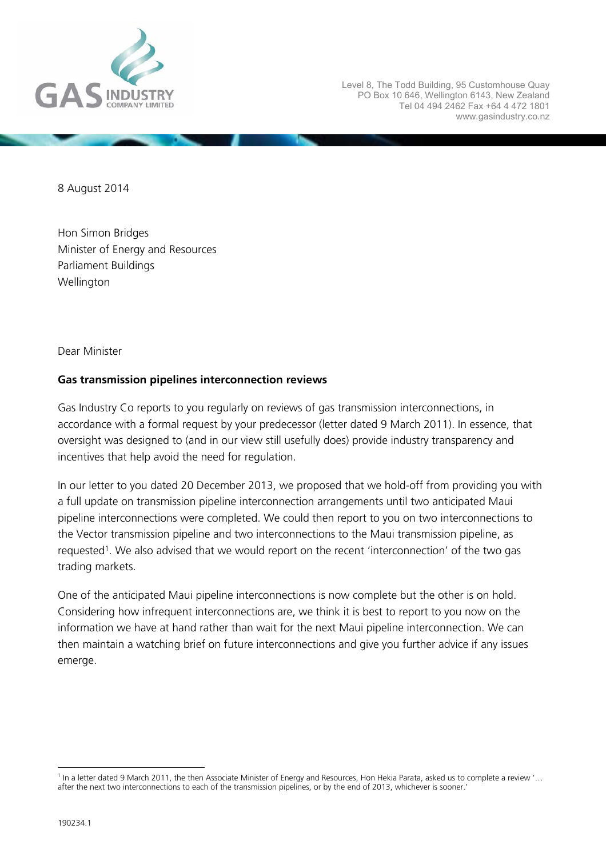

8 August 2014

Hon Simon Bridges Minister of Energy and Resources Parliament Buildings Wellington

Dear Minister

## **Gas transmission pipelines interconnection reviews**

Gas Industry Co reports to you regularly on reviews of gas transmission interconnections, in accordance with a formal request by your predecessor (letter dated 9 March 2011). In essence, that oversight was designed to (and in our view still usefully does) provide industry transparency and incentives that help avoid the need for regulation.

In our letter to you dated 20 December 2013, we proposed that we hold-off from providing you with a full update on transmission pipeline interconnection arrangements until two anticipated Maui pipeline interconnections were completed. We could then report to you on two interconnections to the Vector transmission pipeline and two interconnections to the Maui transmission pipeline, as requested<sup>1</sup>. We also advised that we would report on the recent 'interconnection' of the two gas trading markets.

One of the anticipated Maui pipeline interconnections is now complete but the other is on hold. Considering how infrequent interconnections are, we think it is best to report to you now on the information we have at hand rather than wait for the next Maui pipeline interconnection. We can then maintain a watching brief on future interconnections and give you further advice if any issues emerge.

 $\overline{a}$ 

<sup>&</sup>lt;sup>1</sup> In a letter dated 9 March 2011, the then Associate Minister of Energy and Resources, Hon Hekia Parata, asked us to complete a review '... after the next two interconnections to each of the transmission pipelines, or by the end of 2013, whichever is sooner.'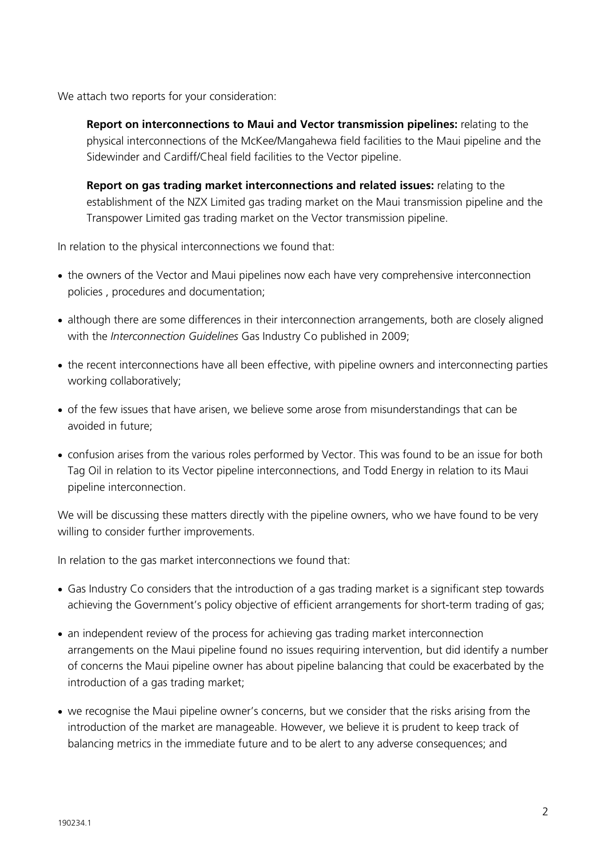We attach two reports for your consideration:

**Report on interconnections to Maui and Vector transmission pipelines:** relating to the physical interconnections of the McKee/Mangahewa field facilities to the Maui pipeline and the Sidewinder and Cardiff/Cheal field facilities to the Vector pipeline.

**Report on gas trading market interconnections and related issues:** relating to the establishment of the NZX Limited gas trading market on the Maui transmission pipeline and the Transpower Limited gas trading market on the Vector transmission pipeline.

In relation to the physical interconnections we found that:

- the owners of the Vector and Maui pipelines now each have very comprehensive interconnection policies , procedures and documentation;
- although there are some differences in their interconnection arrangements, both are closely aligned with the *Interconnection Guidelines* Gas Industry Co published in 2009;
- the recent interconnections have all been effective, with pipeline owners and interconnecting parties working collaboratively;
- of the few issues that have arisen, we believe some arose from misunderstandings that can be avoided in future;
- confusion arises from the various roles performed by Vector. This was found to be an issue for both Tag Oil in relation to its Vector pipeline interconnections, and Todd Energy in relation to its Maui pipeline interconnection.

We will be discussing these matters directly with the pipeline owners, who we have found to be very willing to consider further improvements.

In relation to the gas market interconnections we found that:

- Gas Industry Co considers that the introduction of a gas trading market is a significant step towards achieving the Government's policy objective of efficient arrangements for short-term trading of gas;
- an independent review of the process for achieving gas trading market interconnection arrangements on the Maui pipeline found no issues requiring intervention, but did identify a number of concerns the Maui pipeline owner has about pipeline balancing that could be exacerbated by the introduction of a gas trading market;
- we recognise the Maui pipeline owner's concerns, but we consider that the risks arising from the introduction of the market are manageable. However, we believe it is prudent to keep track of balancing metrics in the immediate future and to be alert to any adverse consequences; and